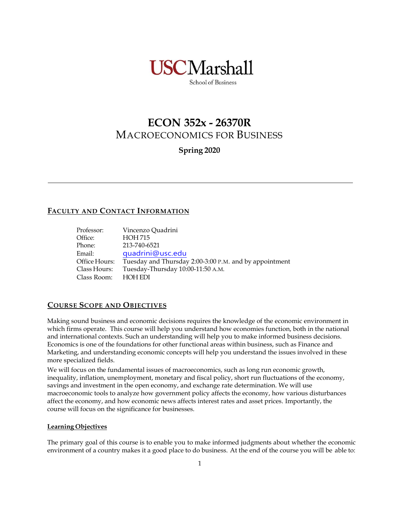

School of Business

# **ECON 352x - 26370R** MACROECONOMICS FOR BUSINESS

**Spring 2020**

# **FACULTY AND CONTACT INFORMATION**

| Professor:    | Vincenzo Quadrini                                      |
|---------------|--------------------------------------------------------|
| Office:       | <b>HOH 715</b>                                         |
| Phone:        | 213-740-6521                                           |
| Email:        | quadrini@usc.edu                                       |
| Office Hours: | Tuesday and Thursday 2:00-3:00 P.M. and by appointment |
| Class Hours:  | Tuesday-Thursday 10:00-11:50 A.M.                      |
| Class Room:   | <b>HOH EDI</b>                                         |

## **COURSE SCOPE AND OBJECTIVES**

Making sound business and economic decisions requires the knowledge of the economic environment in which firms operate. This course will help you understand how economies function, both in the national and international contexts. Such an understanding will help you to make informed business decisions. Economics is one of the foundations for other functional areas within business, such as Finance and Marketing, and understanding economic concepts will help you understand the issues involved in these more specialized fields.

We will focus on the fundamental issues of macroeconomics, such as long run economic growth, inequality, inflation, unemployment, monetary and fiscal policy, short run fluctuations of the economy, savings and investment in the open economy, and exchange rate determination. We will use macroeconomic tools to analyze how government policy affects the economy, how various disturbances affect the economy, and how economic news affects interest rates and asset prices. Importantly, the course will focus on the significance for businesses.

#### **Learning Objectives**

The primary goal of this course is to enable you to make informed judgments about whether the economic environment of a country makes it a good place to do business. At the end of the course you will be able to: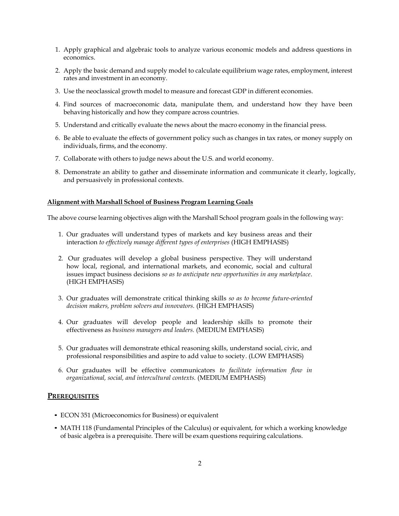- 1. Apply graphical and algebraic tools to analyze various economic models and address questions in economics.
- 2. Apply the basic demand and supply model to calculate equilibrium wage rates, employment, interest rates and investment in an economy.
- 3. Use the neoclassical growth model to measure and forecast GDP in different economies.
- 4. Find sources of macroeconomic data, manipulate them, and understand how they have been behaving historically and how they compare across countries.
- 5. Understand and critically evaluate the news about the macro economy in the financial press.
- 6. Be able to evaluate the effects of government policy such as changes in tax rates, or money supply on individuals, firms, and the economy.
- 7. Collaborate with others to judge news about the U.S. and world economy.
- 8. Demonstrate an ability to gather and disseminate information and communicate it clearly, logically, and persuasively in professional contexts.

#### **Alignment with Marshall School of Business Program Learning Goals**

The above course learning objectives align with the Marshall School program goals in the following way:

- 1. Our graduates will understand types of markets and key business areas and their interaction *to effectively manage different types of enterprises* (HIGH EMPHASIS)
- 2. Our graduates will develop a global business perspective. They will understand how local, regional, and international markets, and economic, social and cultural issues impact business decisions *so as to anticipate new opportunities in any marketplace*. (HIGH EMPHASIS)
- 3. Our graduates will demonstrate critical thinking skills *so as to become future-oriented decision makers, problem solvers and innovators.* (HIGH EMPHASIS)
- 4. Our graduates will develop people and leadership skills to promote their effectiveness as *business managers and leaders.* (MEDIUM EMPHASIS)
- 5. Our graduates will demonstrate ethical reasoning skills, understand social, civic, and professional responsibilities and aspire to add value to society. (LOW EMPHASIS)
- 6. Our graduates will be effective communicators *to facilitate information flow in organizational, social, and intercultural contexts.* (MEDIUM EMPHASIS)

#### **PREREQUISITES**

- *•* ECON 351 (Microeconomics for Business) or equivalent
- *•* MATH 118 (Fundamental Principles of the Calculus) or equivalent, for which a working knowledge of basic algebra is a prerequisite. There will be exam questions requiring calculations.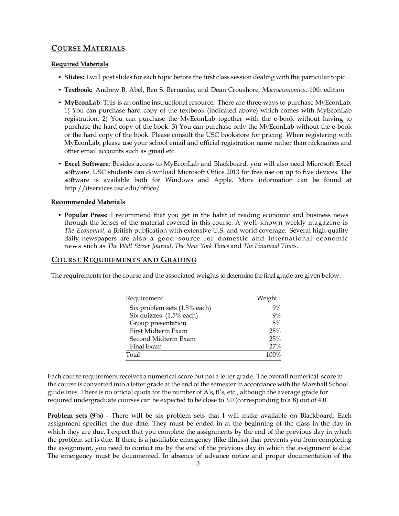### **COURSE MATERIALS**

#### **RequiredMaterials**

- *•* **Slides:** I will post slides for each topic before the first class session dealing with the particular topic.
- *•* **Textbook:** Andrew B. Abel, Ben S. Bernanke, and Dean Croushore, *Macroeconomics*, 10th edition.
- *•* **MyEconLab**: This is an online instructional resource. There are three ways to purchase MyEconLab. 1) You can purchase hard copy of the textbook (indicated above) which comes with MyEconLab registration. 2) You can purchase the MyEconLab together with the e-book without having to purchase the hard copy of the book. 3) You can purchase only the MyEconLab without the e-book or the hard copy of the book. Please consult the USC bookstore for pricing. When registering with MyEconLab, please use your school email and official registration name rather than nicknames and other email accounts such as gmail etc.
- *•* **Excel Software**: Besides access to MyEconLab and Blackboard, you will also need Microsoft Excel software. USC students can download Microsoft Office 2013 for free use on up to five devices. The software is available both for Windows and Apple. More information can be found at http://itservices.usc.edu/office/.

#### **Recommended Materials**

*•* **Popular Press:** I recommend that you get in the habit of reading economic and business news through the lenses of the material covered in this course. A well-known weekly magazine is *The Economist*, a British publication with extensive U.S. and world coverage. Several high-quality daily newspapers are also a good source for domestic and international economic news such as *The Wall Street Journal*, *The New York Times* and *The Financial Times*.

#### **COURSE REQUIREMENTS AND GRADING**

The requirements for the course and the associated weights to determine the final grade are given below:

| Requirement                  | Weight |
|------------------------------|--------|
| Six problem sets (1.5% each) | 9%     |
| Six quizzes (1.5% each)      | 9%     |
| Group presentation           | 5%     |
| First Midterm Exam           | 25%    |
| Second Midterm Exam          | 25%    |
| Final Exam                   | 27%    |
| Total                        | 100%   |

Each course requirement receives a numerical score but not a letter grade. The overall numerical score in the course is converted into a letter grade at the end of the semester in accordance with the Marshall School guidelines. There is no official quota for the number of A's, B's, etc., although the average grade for required undergraduate courses can be expected to be close to 3.0 (corresponding to a B) out of 4.0.

**Problem sets (9%)** - There will be six problem sets that I will make available on Blackboard. Each assignment specifies the due date. They must be ended in at the beginning of the class in the day in which they are due. I expect that you complete the assignments by the end of the previous day in which the problem set is due. If there is a justifiable emergency (like illness) that prevents you from completing the assignment, you need to contact me by the end of the previous day in which the assignment is due. The emergency must be documented. In absence of advance notice and proper documentation of the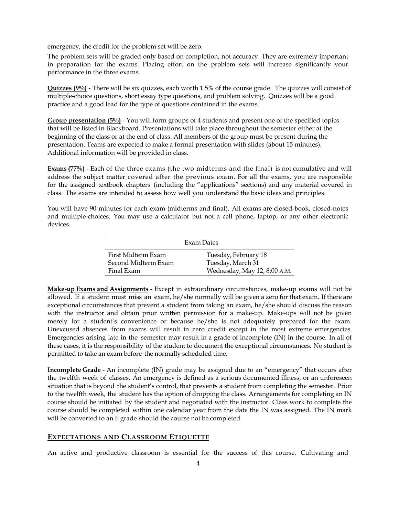emergency, the credit for the problem set will be zero.

The problem sets will be graded only based on completion, not accuracy. They are extremely important in preparation for the exams. Placing effort on the problem sets will increase significantly your performance in the three exams.

**Quizzes (9%)** - There will be six quizzes, each worth 1.5% of the course grade. The quizzes will consist of multiple-choice questions, short essay type questions, and problem solving. Quizzes will be a good practice and a good lead for the type of questions contained in the exams.

**Group presentation (5%)** - You will form groups of 4 students and present one of the specified topics that will be listed in Blackboard. Presentations will take place throughout the semester either at the beginning of the class or at the end of class. All members of the group must be present during the presentation. Teams are expected to make a formal presentation with slides (about 15 minutes). Additional information will be provided in class.

**Exams (77%)** - Each of the three exams (the two midterms and the final) is not cumulative and will address the subject matter covered after the previous exam. For all the exams, you are responsible for the assigned textbook chapters (including the "applications" sections) and any material covered in class. The exams are intended to assess how well you understand the basic ideas and principles.

You will have 90 minutes for each exam (midterms and final). All exams are closed-book, closed-notes and multiple-choices. You may use a calculator but not a cell phone, laptop, or any other electronic devices.

| Exam Dates                                |                                           |  |
|-------------------------------------------|-------------------------------------------|--|
| First Midterm Exam<br>Second Midterm Exam | Tuesday, February 18<br>Tuesday, March 31 |  |
| Final Exam                                | Wednesday, May 12, 8:00 A.M.              |  |

**Make-up Exams and Assignments** - Except in extraordinary circumstances, make-up exams will not be allowed. If a student must miss an exam, he/she normally will be given a zero for that exam. If there are exceptional circumstances that prevent a student from taking an exam, he/she should discuss the reason with the instructor and obtain prior written permission for a make-up. Make-ups will not be given merely for a student's convenience or because he/she is not adequately prepared for the exam. Unexcused absences from exams will result in zero credit except in the most extreme emergencies. Emergencies arising late in the semester may result in a grade of incomplete (IN) in the course. In all of these cases, it is the responsibility of the student to document the exceptional circumstances. No student is permitted to take an exam before the normally scheduled time.

**Incomplete Grade** - An incomplete (IN) grade may be assigned due to an "emergency" that occurs after the twelfth week of classes. An emergency is defined as a serious documented illness, or an unforeseen situation that is beyond the student's control, that prevents a student from completing the semester. Prior to the twelfth week, the student has the option of dropping the class. Arrangements for completing an IN course should be initiated by the student and negotiated with the instructor. Class work to complete the course should be completed within one calendar year from the date the IN was assigned. The IN mark will be converted to an F grade should the course not be completed.

#### **EXPECTATIONS AND CLASSROOM ETIQUETTE**

An active and productive classroom is essential for the success of this course. Cultivating and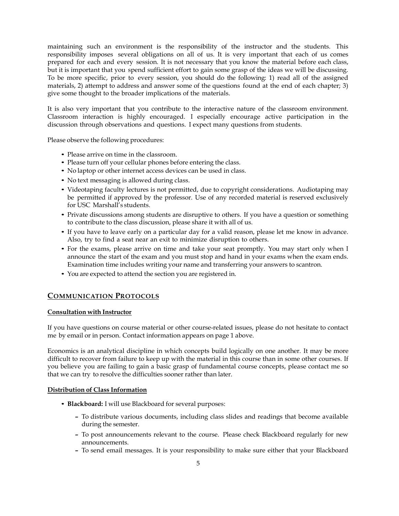maintaining such an environment is the responsibility of the instructor and the students. This responsibility imposes several obligations on all of us. It is very important that each of us comes prepared for each and every session. It is not necessary that you know the material before each class, but it is important that you spend sufficient effort to gain some grasp of the ideas we will be discussing. To be more specific, prior to every session, you should do the following: 1) read all of the assigned materials, 2) attempt to address and answer some of the questions found at the end of each chapter; 3) give some thought to the broader implications of the materials.

It is also very important that you contribute to the interactive nature of the classroom environment. Classroom interaction is highly encouraged. I especially encourage active participation in the discussion through observations and questions. I expect many questions from students.

Please observe the following procedures:

- *•* Please arrive on time in the classroom.
- *•* Please turn off your cellular phones before entering the class.
- *•* No laptop or other internet access devices can be used in class.
- *•* No text messaging is allowed during class.
- *•* Videotaping faculty lectures is not permitted, due to copyright considerations. Audiotaping may be permitted if approved by the professor. Use of any recorded material is reserved exclusively for USC Marshall's students.
- Private discussions among students are disruptive to others. If you have a question or something to contribute to the class discussion, please share it with all of us.
- If you have to leave early on a particular day for a valid reason, please let me know in advance. Also, try to find a seat near an exit to minimize disruption to others.
- *•* For the exams, please arrive on time and take your seat promptly. You may start only when I announce the start of the exam and you must stop and hand in your exams when the exam ends. Examination time includes writing your name and transferring your answers to scantron.
- *•* You are expected to attend the section you are registered in.

#### **COMMUNICATION PROTOCOLS**

#### **Consultation with Instructor**

If you have questions on course material or other course-related issues, please do not hesitate to contact me by email or in person. Contact information appears on page 1 above.

Economics is an analytical discipline in which concepts build logically on one another. It may be more difficult to recover from failure to keep up with the material in this course than in some other courses. If you believe you are failing to gain a basic grasp of fundamental course concepts, please contact me so that we can try to resolve the difficulties sooner rather than later.

#### **Distribution of Class Information**

- *•* **Blackboard:** I will use Blackboard for several purposes:
	- **–** To distribute various documents, including class slides and readings that become available during the semester.
	- **–** To post announcements relevant to the course. Please check Blackboard regularly for new announcements.
	- **–** To send email messages. It is your responsibility to make sure either that your Blackboard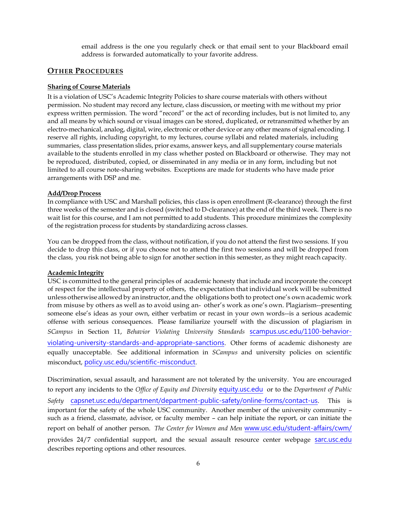email address is the one you regularly check or that email sent to your Blackboard email address is forwarded automatically to your favorite address.

#### **OTHER PROCEDURES**

#### **Sharing of Course Materials**

It is a violation of USC's Academic Integrity Policies to share course materials with others without permission. No student may record any lecture, class discussion, or meeting with me without my prior express written permission. The word "record" or the act of recording includes, but is not limited to, any and all means by which sound or visual images can be stored, duplicated, or retransmitted whether by an electro-mechanical, analog, digital, wire, electronic or other device or any other means of signal encoding. I reserve all rights, including copyright, to my lectures, course syllabi and related materials, including summaries, class presentation slides, prior exams, answer keys, and all supplementary course materials available to the students enrolled in my class whether posted on Blackboard or otherwise. They may not be reproduced, distributed, copied, or disseminated in any media or in any form, including but not limited to all course note-sharing websites. Exceptions are made for students who have made prior arrangements with DSP and me.

#### **Add/Drop Process**

In compliance with USC and Marshall policies, this class is open enrollment (R-clearance) through the first three weeks of the semester and is closed (switched to D-clearance) at the end of the third week. There is no wait list for this course, and I am not permitted to add students. This procedure minimizes the complexity of the registration process for students by standardizing across classes.

You can be dropped from the class, without notification, if you do not attend the first two sessions. If you decide to drop this class, or if you choose not to attend the first two sessions and will be dropped from the class, you risk not being able to sign for another section in this semester, as they might reach capacity.

#### **Academic Integrity**

USC is committed to the general principles of academic honesty that include and incorporate the concept of respect for the intellectual property of others, the expectation that individual work will be submitted unless otherwise allowed by an instructor, and the obligations both to protect one's own academic work from misuse by others as well as to avoid using an- other's work as one's own. Plagiarism--presenting someone else's ideas as your own, either verbatim or recast in your own words--is a serious academic offense with serious consequences. Please familiarize yourself with the discussion of plagiarism in *SCampus* in Section 11, *Behavior Violating University Standards* [scampus.usc.edu/1100-behavior](https://scampus.usc.edu/1100-behavior-violating-university-standards-and-appropriate-sanctions)[violating-university-standards-and-appropriate-sanctions](https://scampus.usc.edu/1100-behavior-violating-university-standards-and-appropriate-sanctions). Other forms of academic dishonesty are equally unacceptable. See additional information in *SCampus* and university policies on scientific misconduct, [policy.usc.edu/scientific-misconduct](http://policy.usc.edu/scientific-misconduct/).

Discrimination, sexual assault, and harassment are not tolerated by the university. You are encouraged to report any incidents to the *Office of Equity and Diversity* [equity.usc.edu](file:///C:/Users/quadrini/OneDrive%20-%20University%20of%20Southern%20California/Docum/Courses-2020/ECON352/equity.usc.edu) or to the *Department of Public Safety* [capsnet.usc.edu/department/department-public-safety/online-forms/contact-us](http://capsnet.usc.edu/department/department-public-safety/online-forms/contact-us). This is important for the safety of the whole USC community. Another member of the university community – such as a friend, classmate, advisor, or faculty member – can help initiate the report, or can initiate the report on behalf of another person. *The Center for Women and Men* [www.usc.edu/student-affairs/cwm/](http://www.usc.edu/student-affairs/cwm/) provides 24/7 confidential support, and the sexual assault resource center webpage [sarc.usc.edu](http://sarc.usc.edu/) describes reporting options and other resources.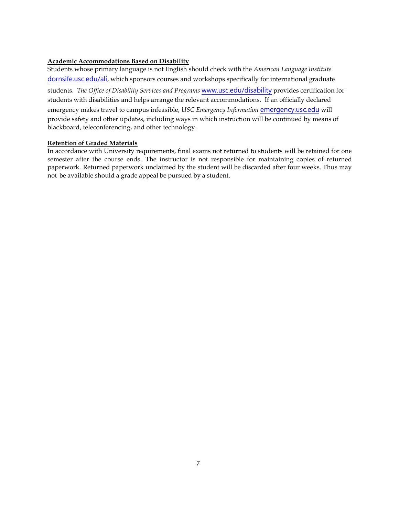#### **Academic Accommodations Based on Disability**

Students whose primary language is not English should check with the *American Language Institute*  [dornsife.usc.edu/ali](http://dornsife.usc.edu/ali), which sponsors courses and workshops specifically for international graduate students. *The Office of Disability Services and Programs* [www.usc.edu/disability](http://www.usc.edu/disability) provides certification for students with disabilities and helps arrange the relevant accommodations. If an officially declared emergency makes travel to campus infeasible, *USC Emergency Information* [emergency.usc.edu](http://emergency.usc.edu/) will provide safety and other updates, including ways in which instruction will be continued by means of blackboard, teleconferencing, and other technology.

#### **Retention of Graded Materials**

In accordance with University requirements, final exams not returned to students will be retained for one semester after the course ends. The instructor is not responsible for maintaining copies of returned paperwork. Returned paperwork unclaimed by the student will be discarded after four weeks. Thus may not be available should a grade appeal be pursued by a student.